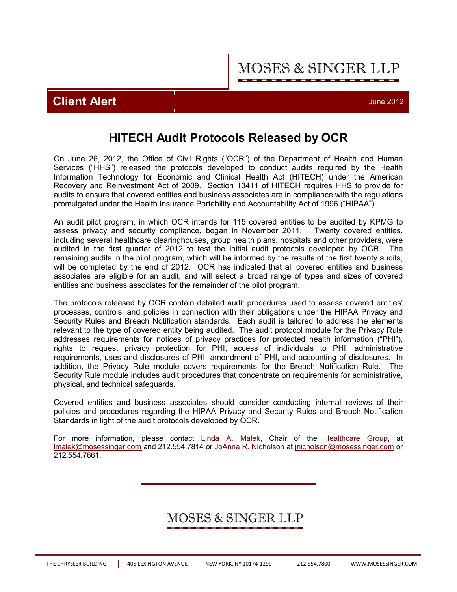**MOSES & SINGER LLP** 

### **Client Alert** June 2012

# **HITECH Audit Protocols Released by OCR**

On June 26, 2012, the Office of Civil Rights ("OCR") of the Department of Health and Human Services ("HHS") released the protocols developed to conduct audits required by the Health Information Technology for Economic and Clinical Health Act (HITECH) under the American Recovery and Reinvestment Act of 2009. Section 13411 of HITECH requires HHS to provide for audits to ensure that covered entities and business associates are in compliance with the regulations promulgated under the Health Insurance Portability and Accountability Act of 1996 ("HIPAA").

An audit pilot program, in which OCR intends for 115 covered entities to be audited by KPMG to assess privacy and security compliance, began in November 2011. Twenty covered entities, including several healthcare clearinghouses, group health plans, hospitals and other providers, were audited in the first quarter of 2012 to test the initial audit protocols developed by OCR. The remaining audits in the pilot program, which will be informed by the results of the first twenty audits, will be completed by the end of 2012. OCR has indicated that all covered entities and business associates are eligible for an audit, and will select a broad range of types and sizes of covered entities and business associates for the remainder of the pilot program.

The protocols released by OCR contain detailed audit procedures used to assess covered entities' processes, controls, and policies in connection with their obligations under the HIPAA Privacy and Security Rules and Breach Notification standards. Each audit is tailored to address the elements relevant to the type of covered entity being audited. The audit protocol module for the Privacy Rule addresses requirements for notices of privacy practices for protected health information ("PHI"), rights to request privacy protection for PHI, access of individuals to PHI, administrative requirements, uses and disclosures of PHI, amendment of PHI, and accounting of disclosures. In addition, the Privacy Rule module covers requirements for the Breach Notification Rule. The Security Rule module includes audit procedures that concentrate on requirements for administrative, physical, and technical safeguards.

Covered entities and business associates should consider conducting internal reviews of their policies and procedures regarding the HIPAA Privacy and Security Rules and Breach Notification Standards in light of the audit protocols developed by OCR.

For more information, please contact [Linda A. Malek,](http://www.mosessinger.com/personnel/lmalek/) Chair of the [Healthcare Group,](http://www.mosessinger.com/Healthcare/) at lmalek@mosessinger.com and 212.554.7814 or [JoAnna R. Nicholson](http://www.mosessinger.com/personnel/jnicholson/) at jnicholson@mosessinger.com or 212.554.7661.

## MOSES & SINGER LLP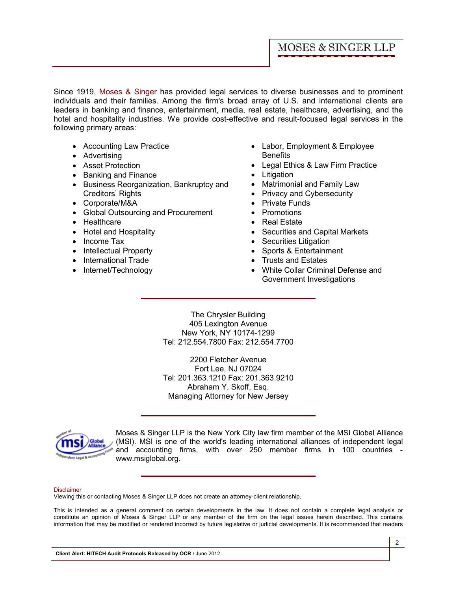Since 1919, [Moses & Singer](http://www.mosessinger.com/firm_profile/firm_description.php) has provided legal services to diverse businesses and to prominent individuals and their families. Among the firm's broad array of U.S. and international clients are leaders in banking and finance, entertainment, media, real estate, healthcare, advertising, and the hotel and hospitality industries. We provide cost-effective and result-focused legal services in the following primary areas:

- Accounting Law Practice
- · Advertising
- · Asset Protection
- · Banking and Finance
- · Business Reorganization, Bankruptcy and Creditors' Rights
- · Corporate/M&A
- · Global Outsourcing and Procurement
- · Healthcare
- · Hotel and Hospitality
- Income Tax
- · Intellectual Property
- · International Trade
- Internet/Technology
- · Labor, Employment & Employee **Benefits**
- · Legal Ethics & Law Firm Practice
- · Litigation
- Matrimonial and Family Law
- Privacy and Cybersecurity
- · Private Funds
- · Promotions
- · Real Estate
- · Securities and Capital Markets
- Securities Litigation
- · Sports & Entertainment
- · Trusts and Estates
- · White Collar Criminal Defense and Government Investigations

The Chrysler Building 405 Lexington Avenue New York, NY 10174-1299 Tel: 212.554.7800 Fax: 212.554.7700

2200 Fletcher Avenue Fort Lee, NJ 07024 Tel: 201.363.1210 Fax: 201.363.9210 Abraham Y. Skoff, Esq. Managing Attorney for New Jersey



Moses & Singer LLP is the New York City law firm member of the MSI Global Alliance (MSI). MSI is one of the world's leading international alliances of independent legal and accounting firms, with over 250 member firms in 100 countries <www.msiglobal.org.>

#### Disclaimer

Viewing this or contacting Moses & Singer LLP does not create an attorney-client relationship.

This is intended as a general comment on certain developments in the law. It does not contain a complete legal analysis or constitute an opinion of Moses & Singer LLP or any member of the firm on the legal issues herein described. This contains information that may be modified or rendered incorrect by future legislative or judicial developments. It is recommended that readers